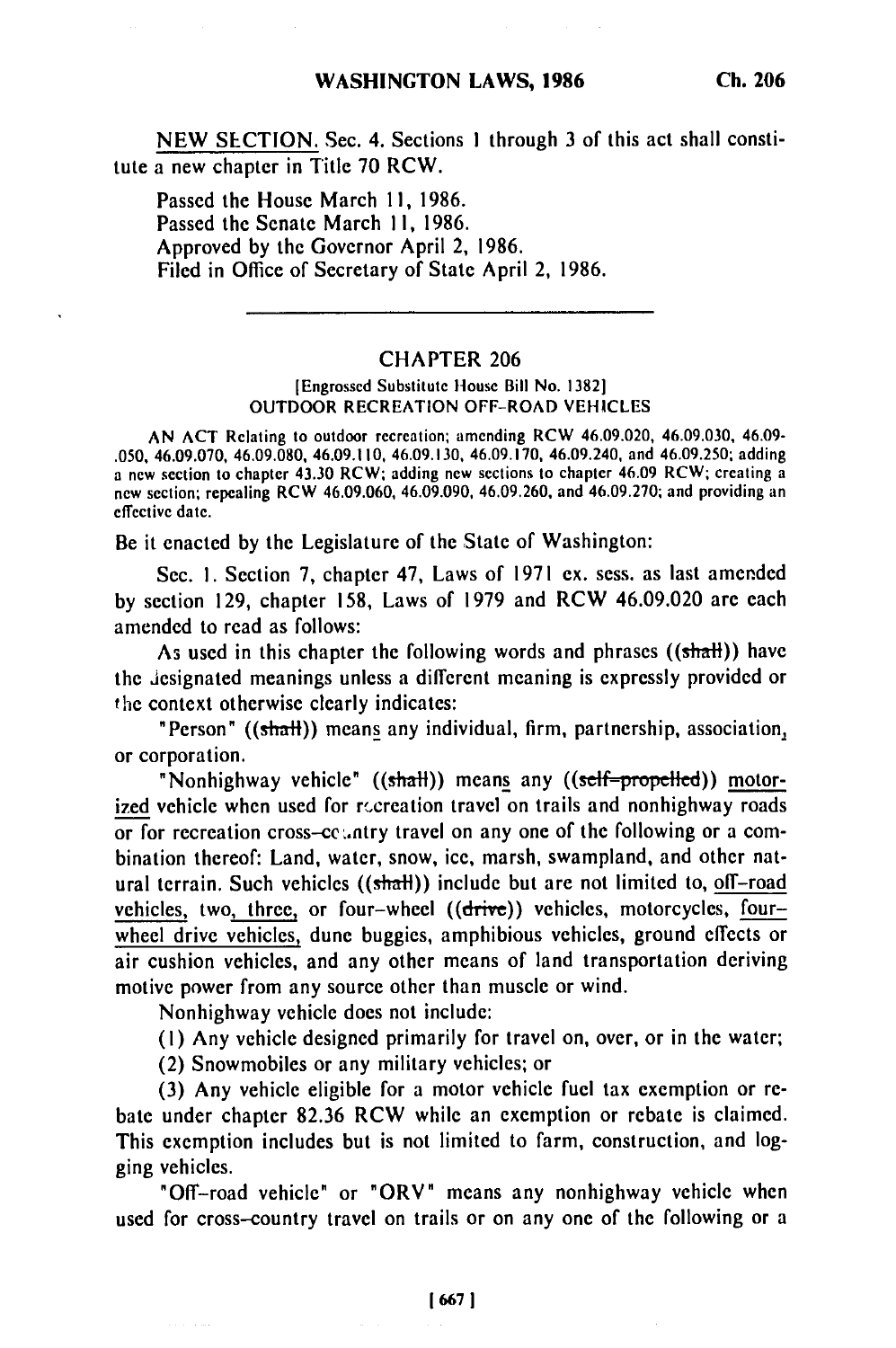NEW SECTION. Sec. 4. Sections **I** through **3** of this act shall constitute a new chapter in Title 70 RCW.

Passed the House March 11, 1986. Passed the Senate March II, 1986. Approved by the Governor April 2, 1986. Filed in Office of Secretary of State April 2, 1986.

### CHAPTER 206

### [Engrossed Substitute House Bill No. 1382] OUTDOOR RECREATION OFF-ROAD VEHICLES

AN ACT Relating to outdoor recreation; amending RCW 46.09.020, 46.09.030, 46.09- .050, 46.09.070, 46.09.080, 46.09.110, 46.09.130, 46.09.170, 46.09.240, and 46.09.250; adding a new section to chapter 43.30 RCW; adding new sections to chapter 46.09 RCW; creating a new section; repealing RCW 46.09.060, 46.09.090, 46.09.260, and 46.09.270; and providing an effective date.

Be it enacted by the Legislature of the State of Washington:

Sec. 1. Section 7, chapter 47, Laws of 1971 ex. sess. as last amended by section 129, chapter 158, Laws of 1979 and RCW 46.09.020 are each amended to read as follows:

As used in this chapter the following words and phrases ((shall)) have the designated meanings unless a different meaning is expressly provided or the context otherwise clearly indicates:

"Person" ((shalt)) means any individual, firm, partnership, association, or corporation.

"Nonhighway vehicle" ((shall)) means any ((self-propelled)) motorized vehicle when used for recreation travel on trails and nonhighway roads or for recreation cross-ce ... ntry travel on any one of the following or a combination thereof: Land, water, snow, ice, marsh, swampland, and other natural terrain. Such vehicles  $((shath))$  include but are not limited to, off-road vehicles, two, three, or four-wheel ((drive)) vehicles, motorcycles, fourwheel drive vehicles, dune buggies, amphibious vehicles, ground effects or air cushion vehicles, and any other means of land transportation deriving motive power from any source other than muscle or wind.

Nonhighway vehicle does not include:

(I) Any vehicle designed primarily for travel on, over, or in the water;

(2) Snowmobiles or any military vehicles; or

(3) Any vehicle eligible for a motor vehicle fuel tax exemption or rebate under chapter 82.36 RCW while an exemption or rebate is claimed. This exemption includes but is not limited to farm, construction, and logging vehicles.

"Off-road vehicle" or "ORV" means any nonhighway vehicle when used for cross-country travel on trails or on any one of the following or a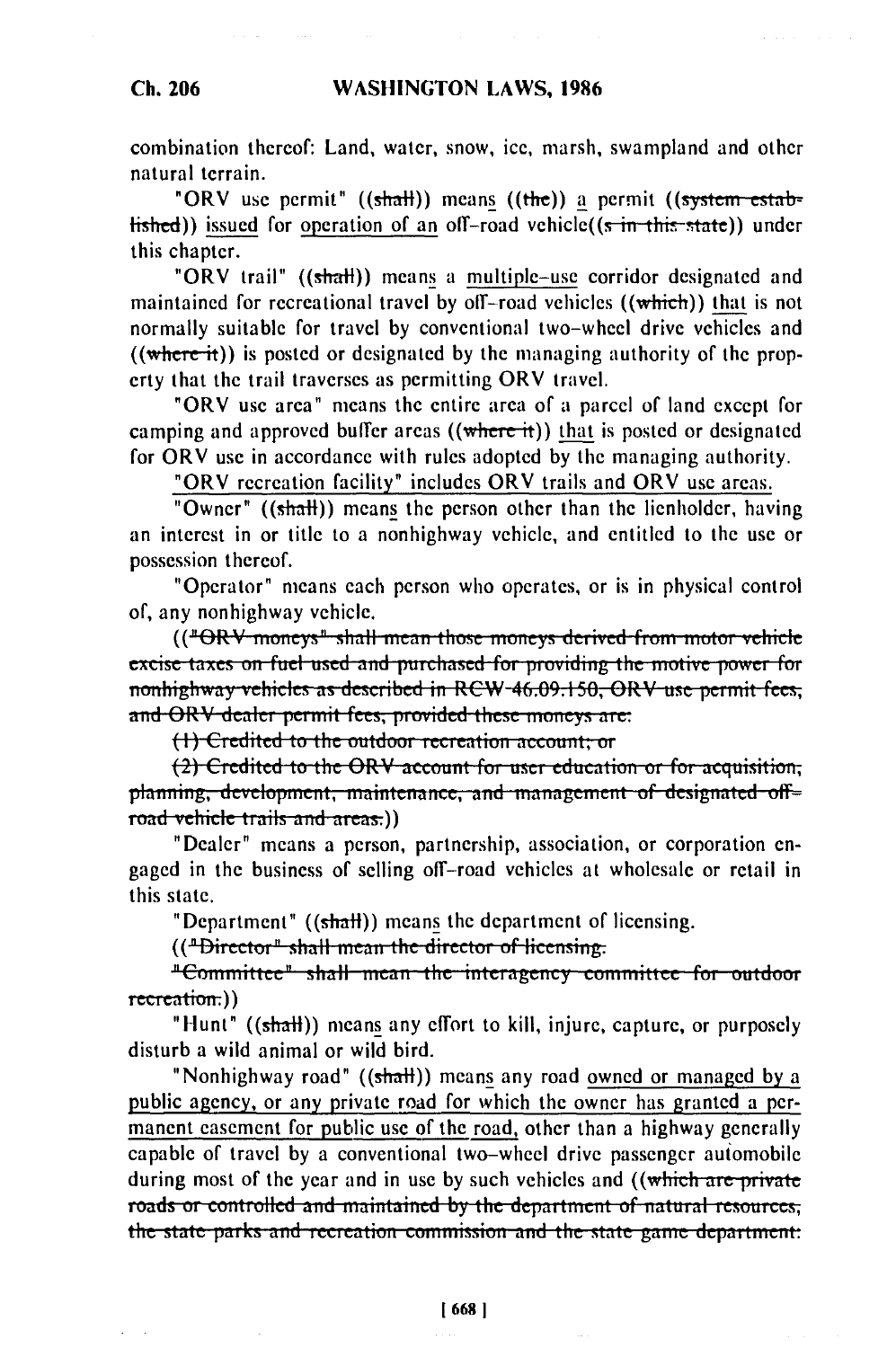# **WASHINGTON LAWS, 1986**

# Ch. 206

combination thereof: Land, water, snow, ice, marsh, swampland and other natural terrain.

"ORV use permit" ((shall)) means ((the)) a permit ((system estab $t$  ished)) issued for operation of an off-road vehicle( $(s + t)$  in this state)) under this chapter.

"ORV trail" ((shall)) means a multiple-use corridor designated and maintained for recreational travel by off-road vehicles ((which)) that is not normally suitable for travel by conventional two-wheel drive vehicles and  $((where it))$  is posted or designated by the managing authority of the property that the trail traverses as permitting ORV travel.

"ORV use area" means the entire area of a parcel of land except for camping and approved buffer areas  $((where it))$  that is posted or designated for ORV use in accordance with rules adopted by the managing authority.

"ORV recreation facility" includes ORV trails and ORV use areas.

"Owner" ((shall)) means the person other than the lienholder, having an interest in or title to a nonhighway vehicle, and entitled to the use or possession thereof.

"Operator" means each person who operates, or is in physical control of, any nonhighway vehicle.

(("ORV moneys" shall mean those moneys derived from motor vehicle excise taxes on fuel used and purchased for providing the motive power for nonhighway vehicles as described in RCW-46.09.150, ORV use permit fees; and ORV dealer permit fees, provided these moneys are:

(1) Credited to the outdoor recreation account; or

(2) Credited to the ORV account for user education or for acquisition; planning, development, maintenance, and management of designated off= road vehicle trails and areas.))

"Dealer" means a person, partnership, association, or corporation engaged in the business of selling off-road vehicles at wholesale or retail in this state.

"Department" ((shall)) means the department of licensing.

(("Director" shall mean the director of licensing.

"Committee" shall mean the interagency committee for outdoor recreation:))

"Hunt" ((shall)) means any effort to kill, injure, capture, or purposely disturb a wild animal or wild bird.

"Nonhighway road" ((shall)) means any road owned or managed by a public agency, or any private road for which the owner has granted a permanent easement for public use of the road, other than a highway generally capable of travel by a conventional two-wheel drive passenger automobile during most of the year and in use by such vehicles and ((which are private roads or controlled and maintained by the department of natural resources; the state parks and recreation commission and the state game department: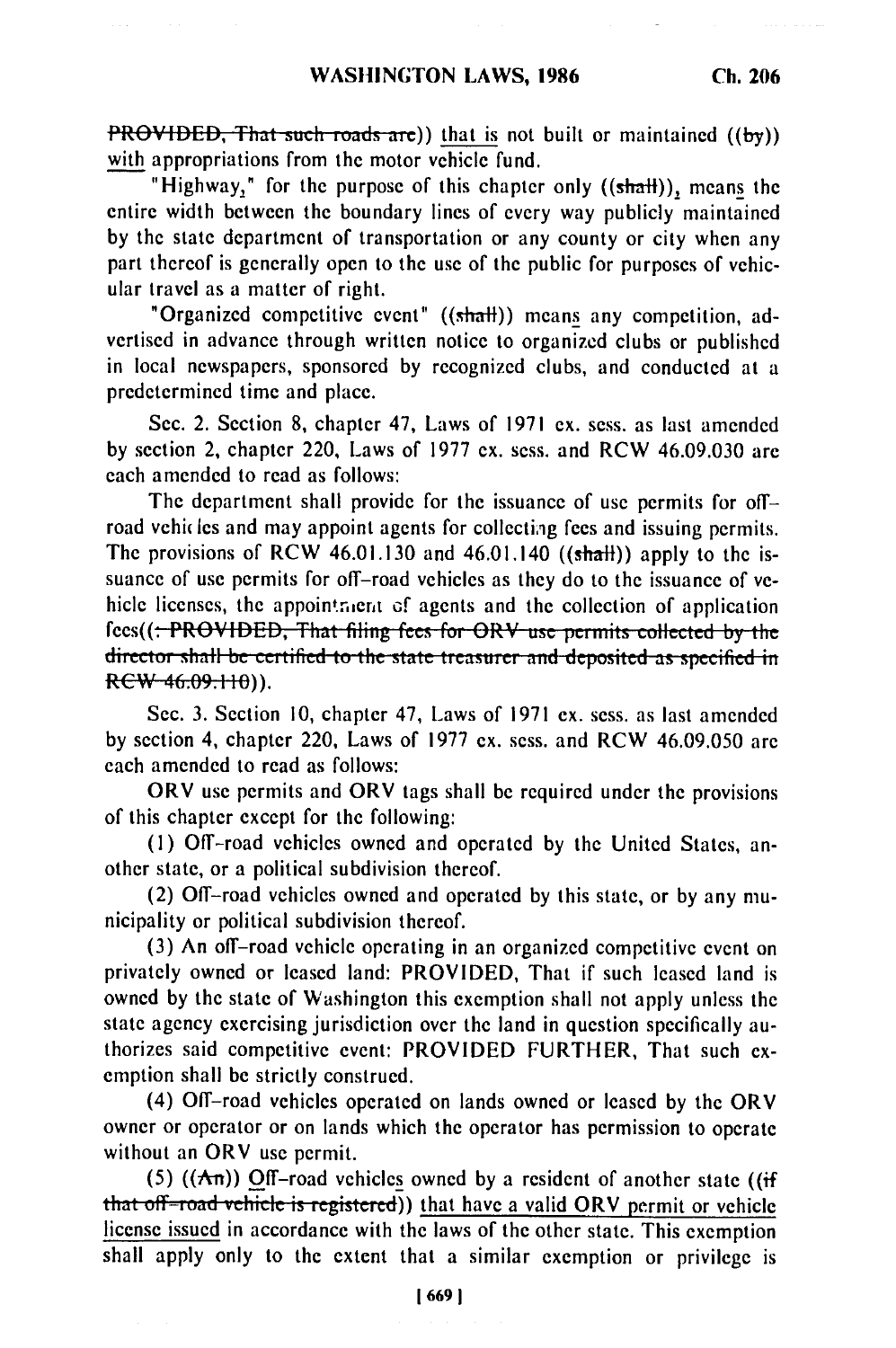**PROVIDED, That such roads are))** that is not built or maintained ((by)) with appropriations from the motor vehicle fund.

"Highway," for the purpose of this chapter only ((shall)), means the entire width between the boundary lines of every way publicly maintained by the state department of transportation or any county or city when any part thereof is generally open to the use of the public for purposes of vehicular travel as a matter of right.

"Organized competitive event" ((shalt)) means any competition, advertised in advance through written notice to organized clubs or published in local newspapers, sponsored by recognized clubs, and conducted at a predetermined time and place.

Sec. 2. Section 8, chapter 47, Laws of 1971 ex. sess. as last amended by section 2, chapter 220, Laws of 1977 ex. sess. and RCW 46.09.030 are each amended to read as follows:

The department shall provide for the issuance of use permits for offroad vehicles and may appoint agents for collecting fees and issuing permits. The provisions of RCW 46.01.130 and 46.01.140 ((shall)) apply to the issuance of use permits for off-road vehicles as they do to the issuance of vehicle licenses, the appointment of agents and the collection of application fees((<del>: PROVIDED, That filing fees for ORV use permits collected by the</del> director shall be certified to the state treasurer and deposited as specified in  $RCW - 46.09.110)$ .

Sec. **3.** Section **10,** chapter 47, Laws of **1971** ex. sess. as last amended **by** section 4, chapter 220, Laws of **1977** ex. sess. and RCW 46.09.050 are each amended to read as follows:

ORV use permits and ORV tags shall be required under the provisions of this chapter except for the following:

**(1)** Off-road vehicles owned and operated by the United States, another state, or a political subdivision thereof.

(2) Off-road vehicles owned and operated by this state, or by any municipality or political subdivision thereof.

(3) An off-road vehicle operating in an organized competitive event on privately owned or leased land: PROVIDED, That if such leased land is owned by the state of Washington this exemption shall not apply unless the state agency exercising jurisdiction over the land in question specifically authorizes said competitive event: PROVIDED FURTHER, That such exemption shall be strictly construed.

(4) Off-road vehicles operated on lands owned or leased by the ORV owner or operator or on lands which the operator has permission to operate without an ORV use permit.

(5) ( $(A\pi)$ ) Off-road vehicles owned by a resident of another state ((if that off-road vehicle is registered)) that have a valid ORV permit or vehicle license issued in accordance with the laws of the other state. This exemption shall apply only to the extent that a similar exemption or privilege is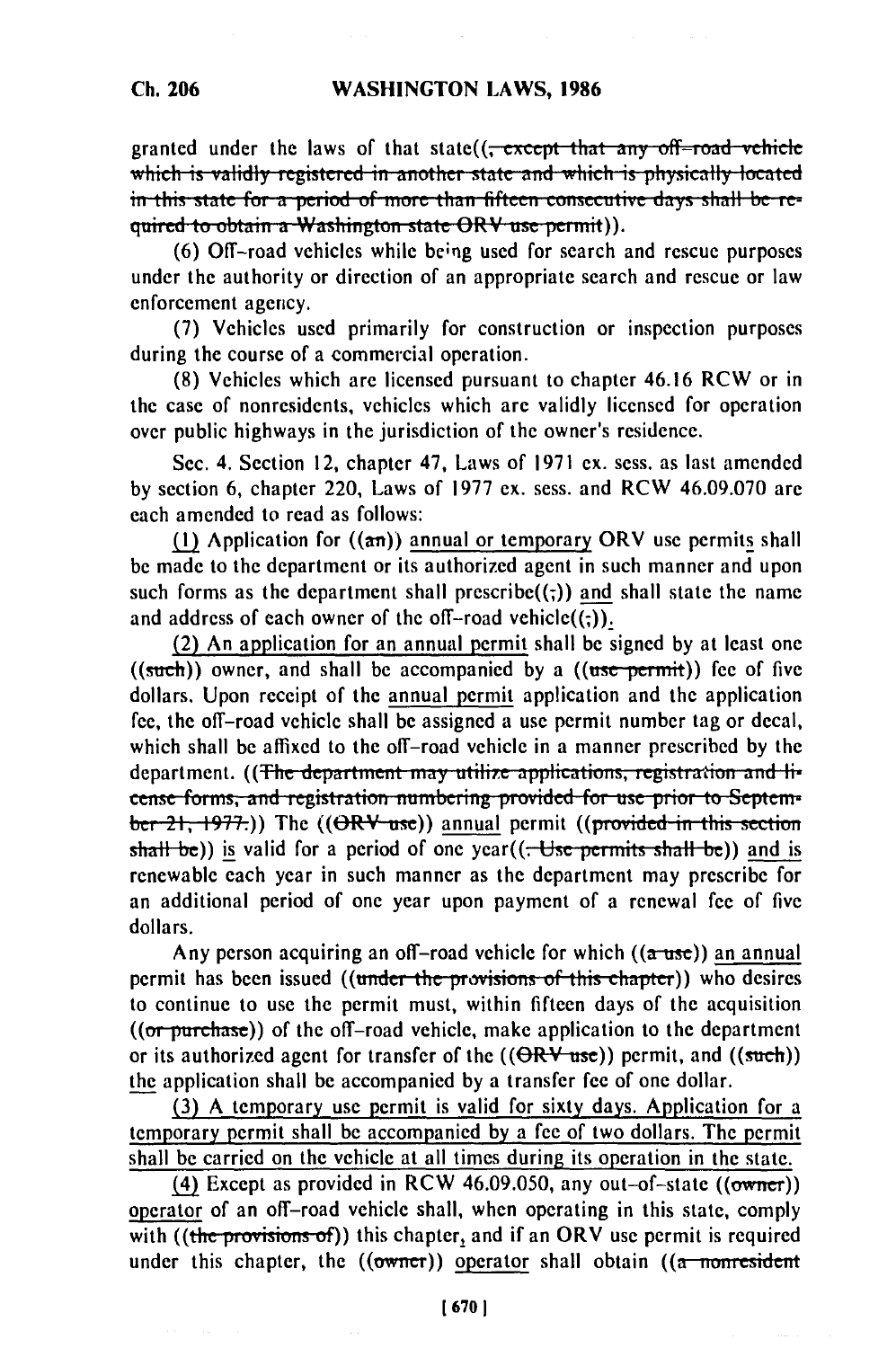granted under the laws of that state((<del>, except that any off-road vehicle</del> which is validly registered in another state and which is physically located in this state for a period of more than fifteen consecutive days shall be re**guired to obtain a Washington state ORV use permit)).** 

**(6)** Off-road vehicles while be;ng used for search and rescue purposes under the authority or direction of an appropriate search and rescue or law enforcement agency.

(7) Vehicles used primarily for construction or inspection purposes during the course of a commercial operation.

(8) Vehicles which are licensed pursuant to chapter 46.16 RCW or in the case of nonresidents, vehicles which are validly licensed for operation over public highways in the jurisdiction of the owner's residence.

Sec. 4. Section 12, chapter 47, Laws of 1971 ex. sess. as last amended by section 6, chapter 220, Laws of 1977 ex. sess. and RCW 46.09.070 are each amended to read as follows:

(1) Application for  $((a\pi))$  annual or temporary ORV use permits shall be made to the department or its authorized agent in such manner and upon such forms as the department shall prescribe $((\cdot))$  and shall state the name and address of each owner of the off-road vehicle $((;))$ .

(2) An application for an annual permit shall be signed by at least one  $((such))$  owner, and shall be accompanied by a  $((use-permit))$  fee of five dollars. Upon receipt of the annual permit application and the application fee, the off-road vehicle shall be assigned a use permit number tag or decal, which shall be affixed to the off-road vehicle in a manner prescribed by the department. ((The department may utilize applications, registration and li**cense forms, and registration numbering provided for use prior to September-21, 1977.)**) The ((ORV use)) annual permit ((provided in this section shall be)) is valid for a period of one year((<del>. Use permits shall be</del>)) and is renewable each year in such manner as the department may prescribe for an additional period of one year upon payment of a renewal fee of five dollars.

Any person acquiring an off-road vehicle for which  $((a$ -use)) an annual permit has been issued ((under the provisions of this chapter)) who desires to continue to use the permit must, within fifteen days of the acquisition ((or purchase)) of the off-road vehicle, make application to the department or its authorized agent for transfer of the  $((\Theta RV_{{\text{use}}}))$  permit, and  $((\text{such}))$ the application shall be accompanied by a transfer fee of one dollar.

**(3)** A temporary use permit is valid for sixty days. Application for a temporary permit shall be accompanied by a fee of two dollars. The permit shall be carried on the vehicle at all times during its operation in the state.

**(4)** Except as provided in RCW 46.09.050, any out-of-state ((owner)) operator of an off-road vehicle shall, when operating in this state, comply with ((the provisions of)) this chapter, and if an ORV use permit is required under this chapter, the  $((\text{owner}))$  operator shall obtain  $((\text{a-momresident})$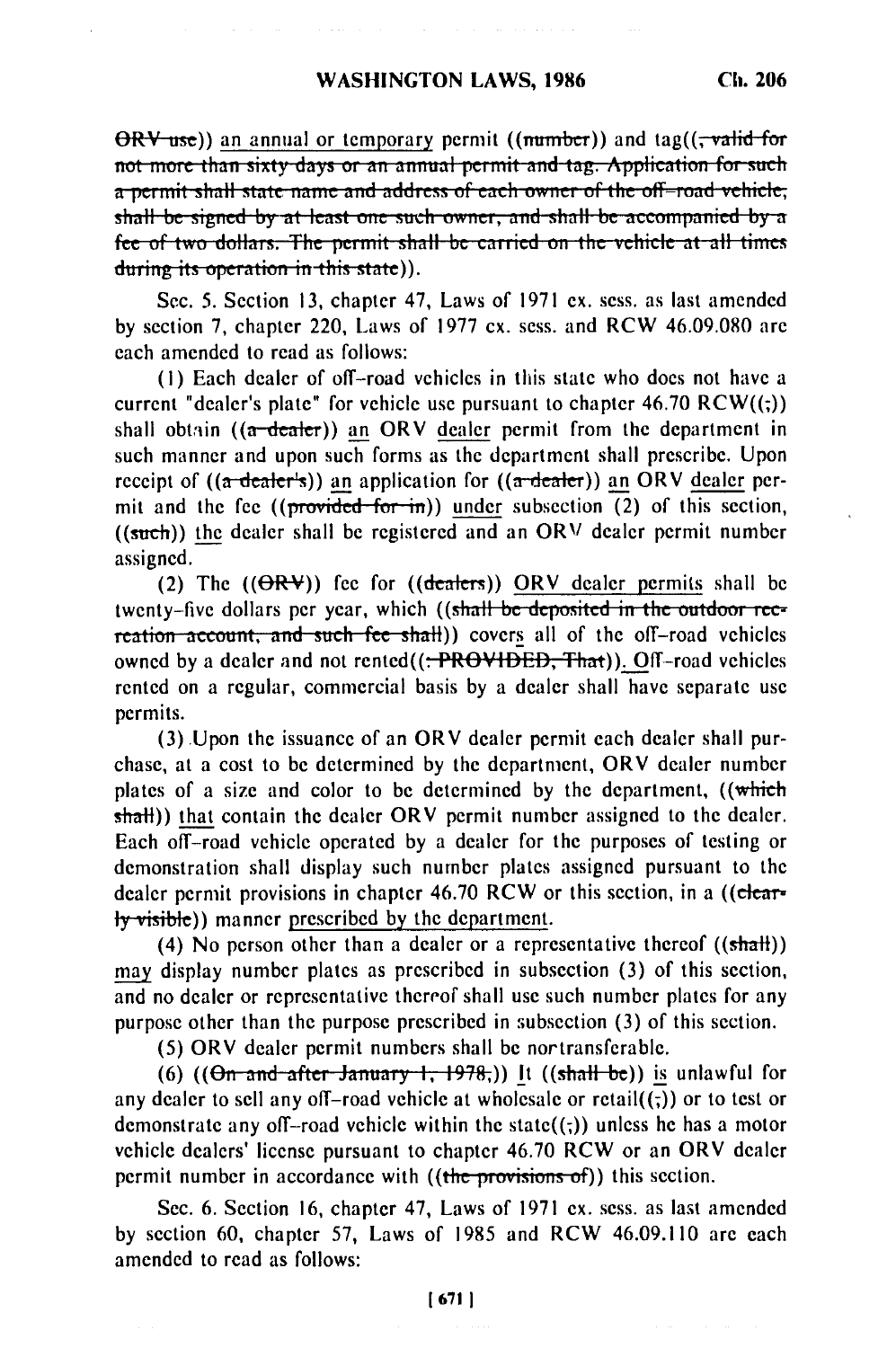$\Theta$ RV use)) an annual or temporary permit ((mumber)) and tag(( $\tau$ valid for not more than sixty days or an annual permit and tag. Application for such a permit shall state name and address of each owner of the off-road vehicle, shall be signed by at least one such owner, and shall be accompanied by a fee of two dollars. The permit shall be carried on the vehicle at all times during its operation in this state)).

Sec. 5. Section 13, chapter 47, Laws of 1971 ex. sess. as last amended by section 7, chapter 220, Laws of 1977 cx. sess. and RCW 46.09.080 are each amended to read as follows:

(1) Each dealer of off-road vehicles in this state who does not have a current "dealer's plate" for vehicle use pursuant to chapter  $46.70$  RCW $((;))$ shall obtain  $((a$ -dealer)) an ORV dealer permit from the department in such manner and upon such forms as the department shall prescribe. Upon receipt of  $((a \cdot \text{deater's}))$  an application for  $((a \cdot \text{deater}))$  an ORV dealer permit and the fee  $((provided for in))$  under subsection (2) of this section, ((such)) the dealer shall be registered and an ORV dealer permit number assigned.

(2) The  $((\Theta R \Psi))$  fee for  $((\text{deaders}))$  ORV dealer permits shall be twenty-five dollars per year, which ((shall be deposited in the outdoor recreation account, and such fee shall) covers all of the off-road vehicles owned by a dealer and not rented((<del>: PROVIDED, That</del>)). Off-road vehicles rented on a regular, commercial basis by a dealer shall have separate use permits.

(3) Upon the issuance of an ORV dealer permit each dealer shall purchase, at a cost to be determined by the department, ORV dealer number plates of a size and color to be determined by the department, ((which shall)) that contain the dealer ORV permit number assigned to the dealer. Each off-road vehicle operated by a dealer for the purposes of testing or demonstration shall display such number plates assigned pursuant to the dealer permit provisions in chapter 46.70 RCW or this section, in a ((clear- $\frac{1}{2}$  ( $\frac{1}{2}$   $\frac{1}{2}$   $\frac{1}{2}$   $\frac{1}{2}$   $\frac{1}{2}$   $\frac{1}{2}$   $\frac{1}{2}$   $\frac{1}{2}$   $\frac{1}{2}$   $\frac{1}{2}$   $\frac{1}{2}$   $\frac{1}{2}$   $\frac{1}{2}$   $\frac{1}{2}$   $\frac{1}{2}$   $\frac{1}{2}$   $\frac{1}{2}$   $\frac{1}{2}$   $\frac{1}{2}$   $\frac{1}{2}$   $\frac{1}{2}$ 

(4) No person other than a dealer or a representative thereof  $((shath))$ may display number plates as prescribed in subsection (3) of this section, and no dealer or representative thereof shall use such number plates for any purpose other than the purpose prescribed in subsection (3) of this section.

(5) ORV dealer permit numbers shall be nortransferable.

(6)  $((\Theta n \text{ and after January 1, 1978}))$  It  $((\text{shall be}))$  is unlawful for any dealer to sell any off-road vehicle at wholesale or  $retail((\tau))$  or to test or demonstrate any off-road vehicle within the state( $(\cdot, \cdot)$ ) unless he has a motor vehicle dealers' license pursuant to chapter 46.70 RCW or an ORV dealer permit number in accordance with ((the provisions of)) this section.

Sec. 6. Section 16, chapter 47, Laws of 1971 ex. sess. as last amended by section 60, chapter 57, Laws of 1985 and RCW 46.09.110 are each amended to read as follows: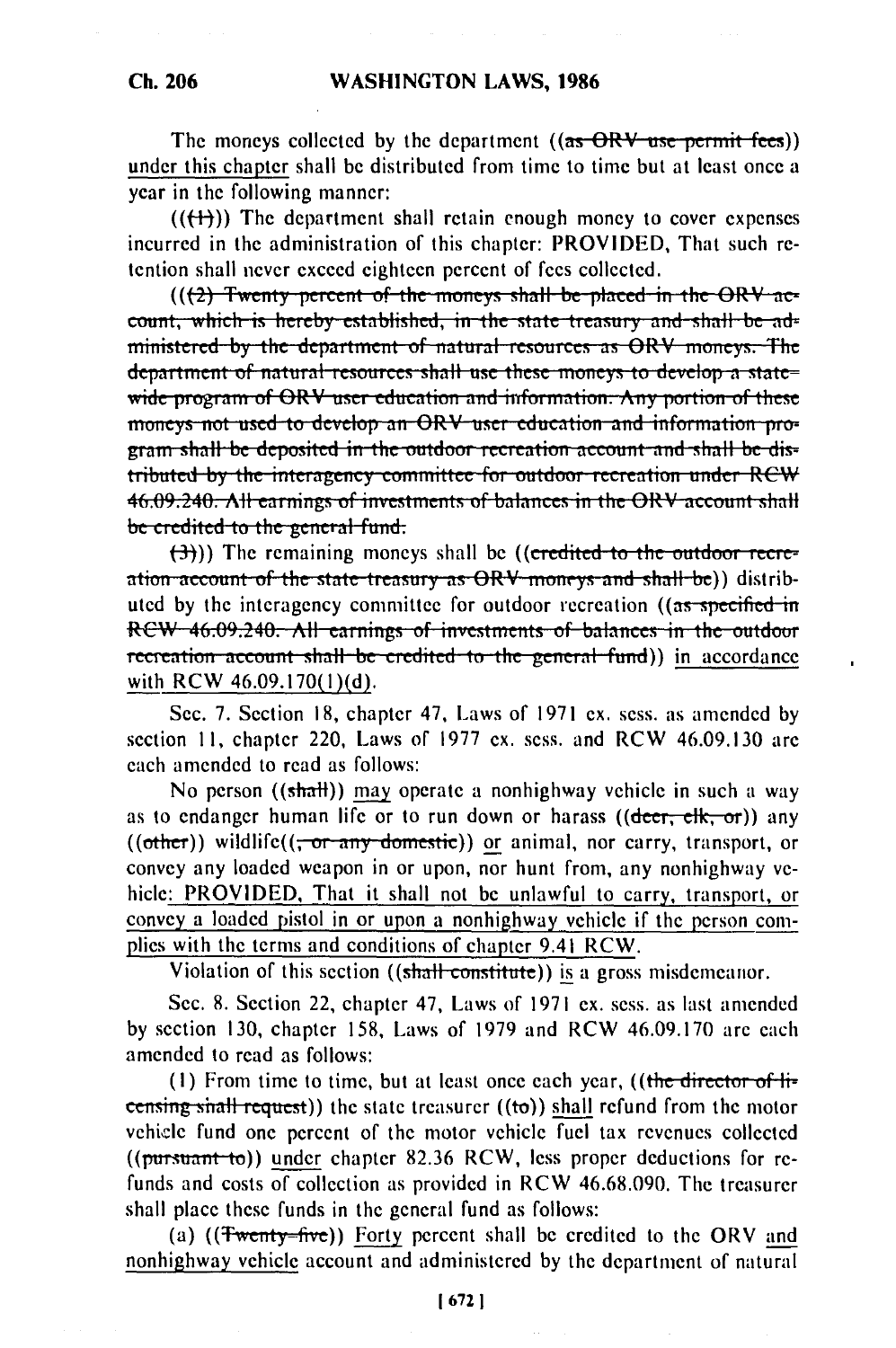The moneys collected by the department  $((as - ORV - use - permit - fees))$ under this chapter shall be distributed from time to time but at least once a year in the following manner:

 $((+)$ ) The department shall retain enough money to cover expenses incurred in the administration of this chapter: PROVIDED, That such retention shall never exceed eighteen percent of fees collected.

 $((2)$  Twenty percent of the moneys shall be placed in the ORV account, which is hereby established, in the state treasury and shall be administered by the department of natural resources as ORV moneys. The department of natural resources shall use these moneys to develop a state= wide program of ORV user education and information. Any portion of these moneys not used to develop an ORV user education and information program shall be deposited in the outdoor recreation account and shall be distributed by the interagency committee for outdoor recreation under RCW 46.09.240. All earnings of investments of balances in the ORV account shall be credited to the general fund:

 $(\rightarrow)$ )) The remaining moneys shall be ((credited to the outdoor recreation account of the state treasury as ORV moneys and shall be)) distributed by the interagency committee for outdoor recreation ((as specified in RCW 46.09.240. All earnings of investments of balances in the outdoor recreation account shall be credited to the general fund)) in accordance with RCW 46.09.170(1)(d).

Sec. 7. Section 18, chapter 47, Laws of 1971 ex. sess. as amended by section 11, chapter 220, Laws of 1977 ex. sess. and RCW 46.09.130 are each amended to read as follows:

No person ((shall)) may operate a nonhighway vehicle in such a way as to endanger human life or to run down or harass ( $(\overline{\text{deer}}; \overline{\text{elk}}, \overline{\text{or}})$ ) any  $($ (other)) wildlife( $($ ; or any domestic)) or animal, nor carry, transport, or convey any loaded weapon in or upon, nor hunt from, any nonhighway vehicle: PROVIDED, That it shall not be unlawful to carry, transport, or convey a loaded pistol in or upon a nonhighway vehicle if the person complies with the terms and conditions of chapter 9.41 RCW.

Violation of this section ((shall constitute)) is a gross misdemeanor.

Sec. 8. Section 22, chapter 47, Laws of 1971 ex. sess. as last amended by section 130, chapter 158, Laws of 1979 and RCW 46.09.170 are each amended to read as follows:

(1) From time to time, but at least once each year, ((the director of  $\mathbf{H}$ censing shall request)) the state treasurer ((to)) shall refund from the motor vehicle fund one percent of the motor vehicle fuel tax revenues collected ((pursuant to)) under chapter 82.36 RCW, less proper deductions for refunds and costs of collection as provided in RCW 46.68.090. The treasurer shall place these funds in the general fund as follows:

(a) ((Twenty-five)) Forty percent shall be credited to the ORV and nonhighway vehicle account and administered by the department of natural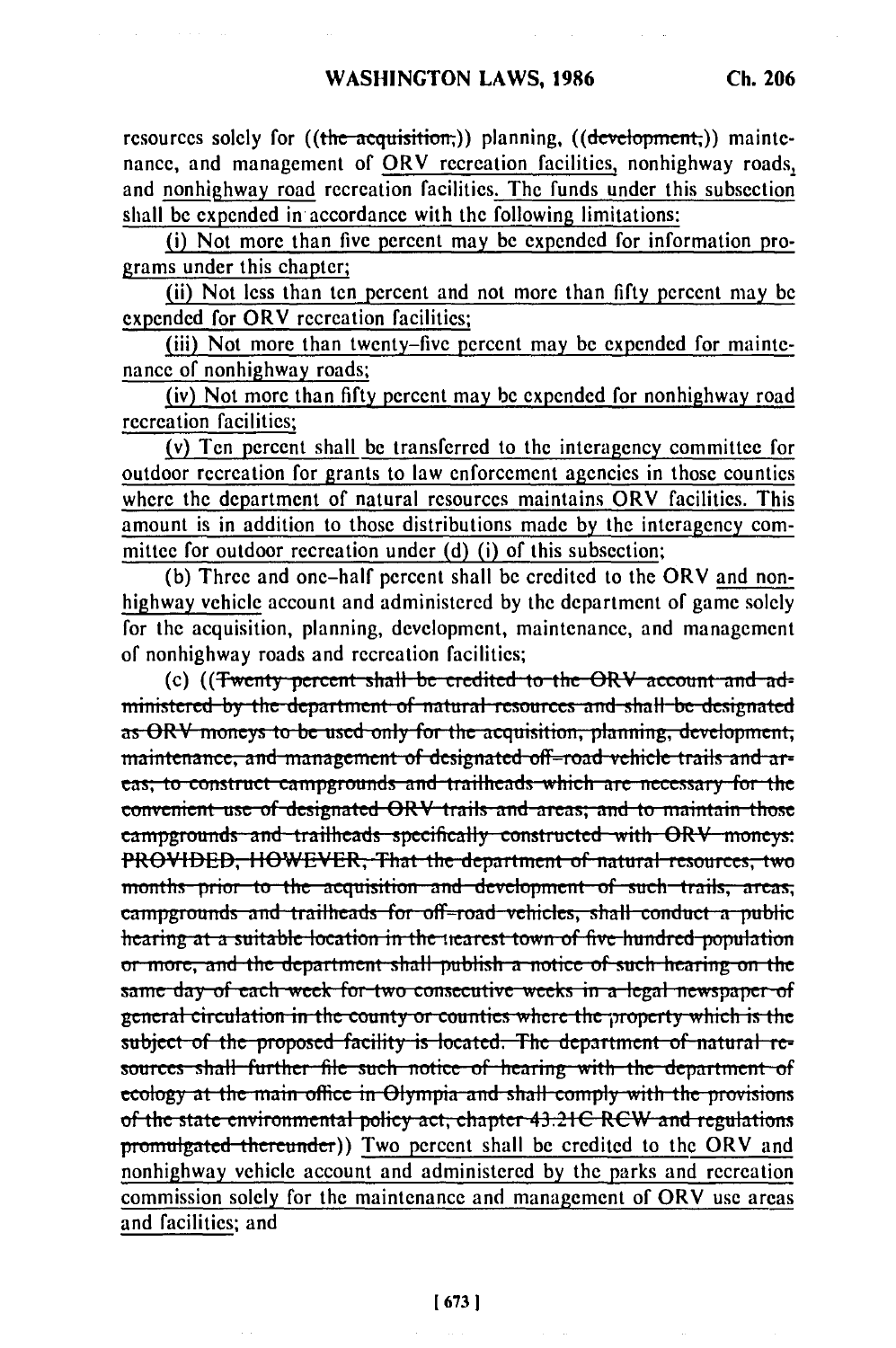resources solely for ((the acquisition;)) planning, ((development;)) maintenance, and management of ORV recreation facilities, nonhighway roads, and nonhighway road recreation facilities. The funds under this subsection shall be expended in accordance with the following limitations:

(i) Not more than five percent may be expended for information programs under this chapter;

(ii) Not less than ten percent and not more than fifty percent may be expended for ORV recreation facilities;

(iii) Not more than twenty-five percent may be expended for maintenance of nonhighway roads;

(iv) Not more than fifty percent may be expended for nonhighway road recreation facilities;

(v) Ten percent shall be transferred to the interagency committee for outdoor recreation for grants to law enforcement agencies in those counties where the department of natural resources maintains ORV facilities. This amount is in addition to those distributions made by the interagency committee for outdoor recreation under (d) (i) of this subsection;

(b) Three and one-half percent shall be credited to the ORV and nonhighway vehicle account and administered by the department of game solely for the acquisition, planning, development, maintenance, and management of nonhighway roads and recreation facilities;

(c) ((Twenty percent shall be credited to the ORV account and administered by the department of natural resources and shall be designated as ORV moneys to be used only for the acquisition, planning, development, maintenance, and management of designated off-road vehicle trails and areas; to construct campgrounds and trailheads which are necessary for the convenient use of designated ORV trails and areas; and to maintain those campgrounds and trailheads specifically constructed with ORV moneys: PROVIDED, HOWEVER, That the department of natural resources, two months prior to the acquisition and development of such trails, areas, campgrounds and trailheads for off-road vehicles, shall conduct a public hearing at a suitable location in the nearest town of five hundred population or more, and the department shall publish a notice of such hearing on the same day of each week for two consecutive weeks in a legal newspaper of general circulation in the county or counties where the property which is the subject of the proposed facility is located. The department of natural resources shall further file such notice of hearing with the department of ecology at the main office in Olympia and shall comply with the provisions of the state environmental policy act, chapter 43.21C RCW and regulations promulgated thereunder)) Two percent shall be credited to the ORV and nonhighway vehicle account and administered by the parks and recreation commission solely for the maintenance and management of ORV use areas and facilities; and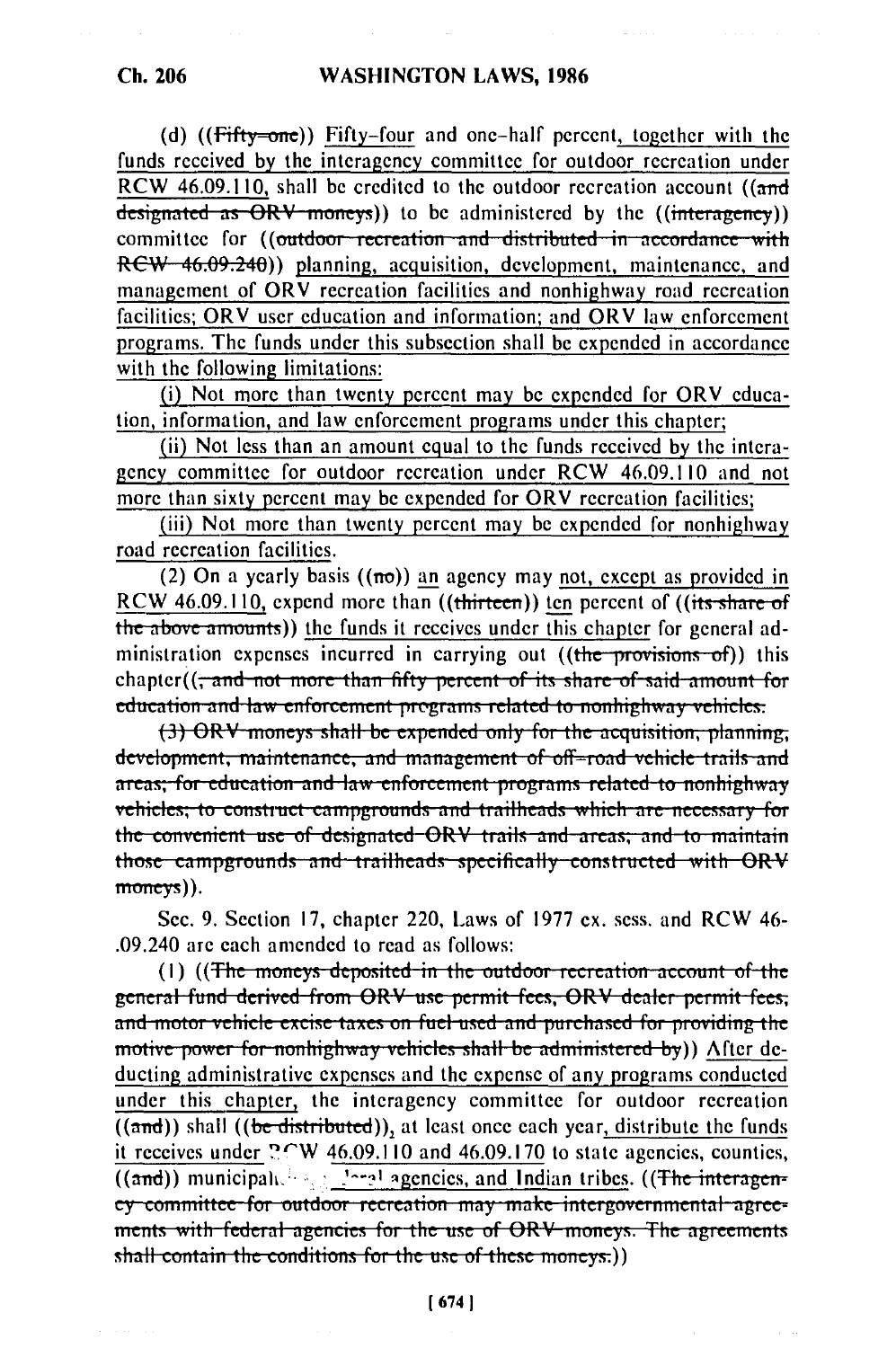(d)  $(f<sup>th</sup>(f<sup>th</sup>y=one))$  Fifty-four and one-half percent, together with the funds received by the interagency committee for outdoor recreation under RCW 46.09.110, shall be credited to the outdoor recreation account ((and designated as  $\overrightarrow{ORV}$  moneys)) to be administered by the ((interagency)) committee for ((outdoor recreation and distributed in accordance with RCW 46.09.240)) planning, acquisition, development, maintenance, and management of ORV recreation facilities and nonhighway road recreation facilities; ORV user education and information; and ORV law enforcement programs. The funds under this subsection shall be expended in accordance with the following limitations:

(i) Not more than twenty percent may be expended for ORV education, information, and law enforcement programs under this chapter;

(ii) Not less than an amount equal to the funds received by the interagency committee for outdoor recreation under RCW 46.09.110 and not more than sixty percent may be expended for ORV recreation facilities;

(iii) Not more than twenty percent may be expended for nonhighway road recreation facilities.

(2) On a yearly basis  $((\pi\sigma))$  an agency may not, except as provided in RCW 46.09.110, expend more than ((thirteen)) ten percent of ((its share of the above amounts)) the funds it receives under this chapter for general administration expenses incurred in carrying out ((the provisions of)) this chapter((<del>; and not more than fifty percent of its share of said amount for</del> education and law enforcement programs related to nonhighway vehicles:

(3) ORV moneys shall be expended only for the acquisition, planning, development, maintenance, and management of off-road vehicle trails and areas; for education and law enforcement programs related to nonhighway vehicles; to construct campgrounds and trailheads which are necessary for the convenient use of designated ORV trails and areas; and to maintain those campgrounds and trailheads specifically constructed with ORV  $mom <sub>ev</sub>$ ).

Sec. 9. Section 17, chapter 220, Laws of 1977 ex. sess. and RCW 46-.09.240 are each amended to read as follows:

(1) ((The moneys deposited in the outdoor recreation account of the general fund derived from ORV use permit fees, ORV dealer permit fees; and motor vehicle excise taxes on fuel used and purchased for providing the motive power for nonhighway vehicles shall be administered by)) After deducting administrative expenses and the expense of any programs conducted under this chapter, the interagency committee for outdoor recreation  $((and))$  shall  $((be distributed))$ , at least once each year, distribute the funds it receives under  $2\text{CW}$  46.09.110 and 46.09.170 to state agencies, counties,  $\overline{(\text{and})}$  municipals  $\overline{\phantom{a}^{\text{1}}$  agencies, and Indian tribes. ((The interageney committee for outdoor recreation may make intergovernmental agreements with federal agencies for the use of ORV moneys. The agreements shall contain the conditions for the use of these moneys.))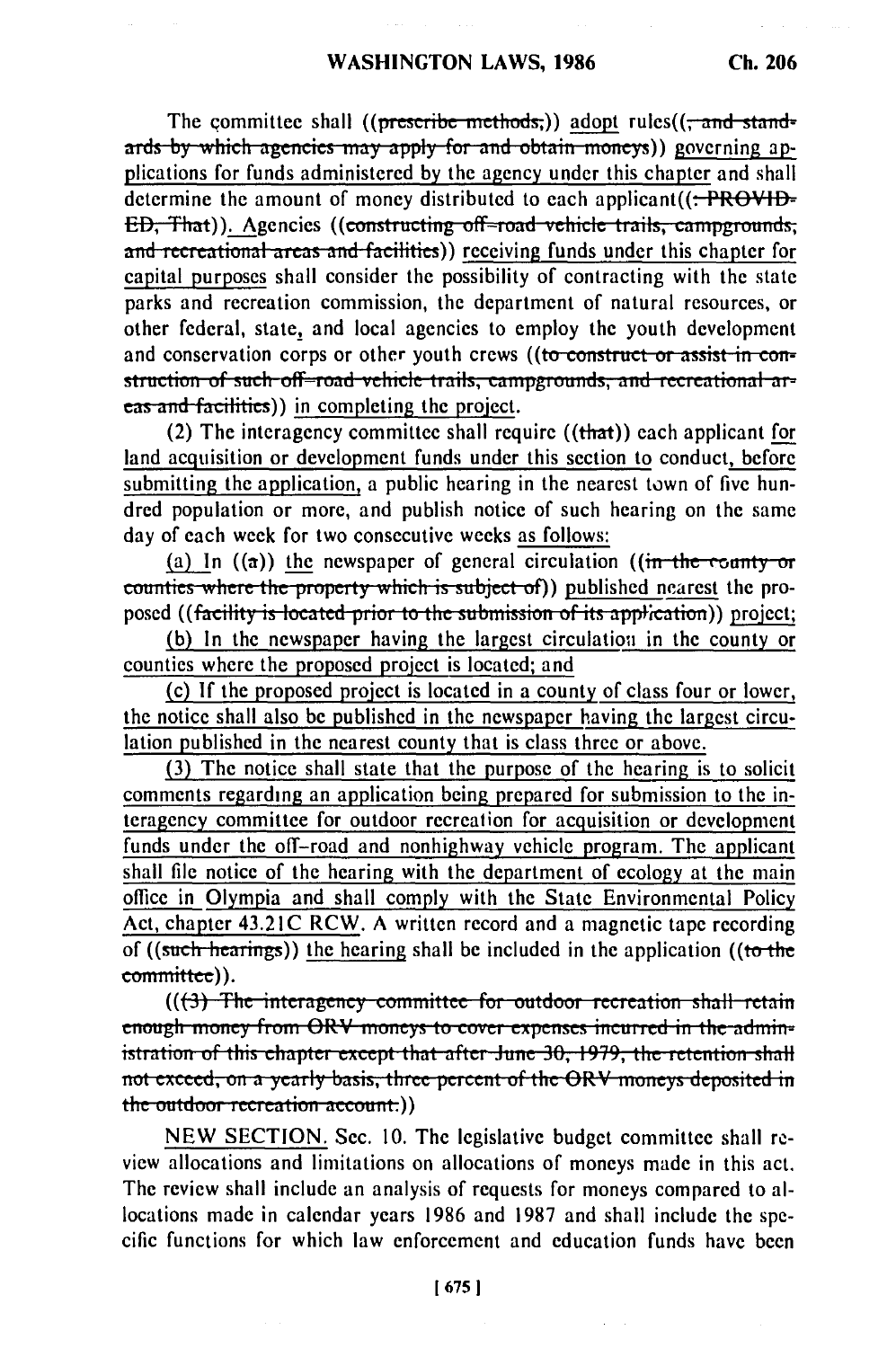The committee shall ((prescribe methods;)) adopt rules( $(\tau$  and stand**ards by which agencies may apply for and obtain moneys)) governing ap**plications for funds administered by the agency under this chapter and shall determine the amount of money distributed to each applicant((:-PROVID-**ED.** That)). Agencies ((constructing off-road vehicle trails, campgrounds, and recreational areas and facilities)) receiving funds under this chapter for capital purposes shall consider the possibility of contracting with the state parks and recreation commission, the department of natural resources, or other federal, state, and local agencies to employ the youth development and conservation corps or other youth crews ((to construct or assist in con**struction of such off-road vehicle trails, campgrounds, and recreational ar***cas and facilities*) in completing the project.

(2) The interagency committee shall require  $((that))$  each applicant for land acquisition or development funds under this section to conduct, before submitting the application, a public hearing in the nearest town of five hundred population or more, and publish notice of such hearing on the same day of each week for two consecutive weeks as follows:

(a) In  $((a))$  the newspaper of general circulation  $((\text{in-the-cometry-or})$ counties where the property which is subject of)) published nearest the proposed ((facility is located prior to the submission of its application)) project;

(b) In the newspaper having the largest circulatiou in the county or counties where the proposed project is located; and

(c) If the proposed project is located in a county of class four or lower, the notice shall also be published in the newspaper having the largest circulation published in the nearest county that is class three or above.

(3) The notice shall state that the purpose of the hearing is to solicit comments regarding an application being prepared for submission to the interagency committee for outdoor recreation for acquisition or development funds under the off-road and nonhighway vehicle program. The applicant shall file notice of the hearing with the department of ecology at the main office in Olympia and shall comply with the State Environmental Policy Act, chapter 43.21C RCW. A written record and a magnetic tape recording of ((such hearings)) the hearing shall be included in the application ((to the committee)).

**(((3) The interagency committee for outdoor recreation shall retain Inough money from ORV moneys to cover expenses incurred in the admin**istration of this chapter except that after June 30, 1979, the retention shall **not exceed, on a yearly basis, three percent of the ORV moneys deposited in the outdoor recreation account.**))

NEW SECTION. Sec. 10. The legislative budget committee shall review allocations and limitations on allocations of moneys made in this act. The review shall include an analysis of requests for moneys compared to allocations made in calendar years 1986 and 1987 and shall include the specific functions for which law enforcement and education funds have been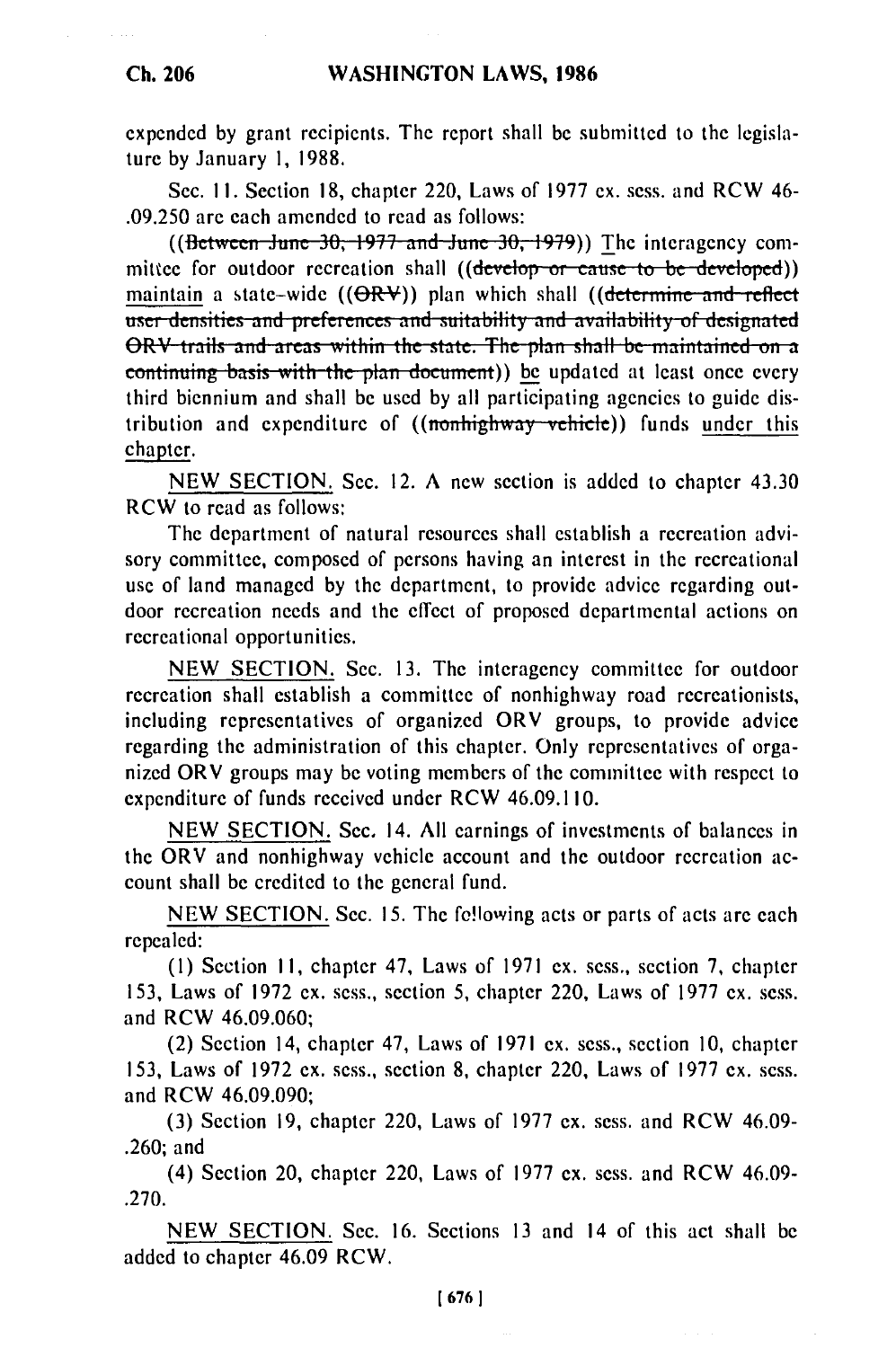expended by grant recipients. The report shall be submitted to the legislature by January 1, 1988.

Sec. II. Section 18, chapter 220, Laws of 1977 ex. sess. and RCW 46- .09.250 are each amended to read as follows:

((Between June 30, 1977 and June 30, 1979)) The interagency committee for outdoor recreation shall ((develop or cause to be developed)) maintain a state-wide ((OR<del>V</del>)) plan which shall ((<del>determine and reflec</del> user densities and preferences and suitability and availability of designated ORV trails and areas within the state. The plan shall be maintained on a continuing basis with the plan document) be updated at least once every third biennium and shall be used by all participating agencies to guide distribution and expenditure of ((nonhighway vehicle)) funds under this chapter.

NEW SECTION. Sec. 12. A new section is added to chapter 43.30 RCW to read as follows:

The department of natural resources shall establish a recreation advisory committee, composed of persons having an interest in the recreational use of land managed by the department, to provide advice regarding outdoor recreation needs and the effect of proposed departmental actions on recreational opportunities.

NEW SECTION. Sec. 13. The interagency committee for outdoor recreation shall establish a committee of nonhighway road recreationists, including representatives of organized ORV groups, to provide advice regarding the administration of this chapter. Only representatives of organized ORV groups may be voting members of the committee with respect to expenditure of funds received under RCW 46.09.110.

NEW SECTION. Sec. 14. All earnings of investments of balances in the ORV and nonhighway vehicle account and the outdoor recreation account shall be credited to the general fund.

NEW SECTION. Sec. 15. The fe!lowing acts or parts of acts are each repealed:

**(1)** Section **II,** chapter 47, Laws of **1971** ex. sess., section 7, chapter 153, Laws of 1972 ex. sess., section 5, chapter 220, Laws of 1977 ex. sess. and RCW 46.09.060;

(2) Section 14, chapter 47, Laws of 1971 ex. sess., section 10, chapter 153, Laws of 1972 ex. sess., section 8, chapter 220, Laws of 1977 ex. sess. and RCW 46.09.090;

(3) Section 19, chapter 220, Laws of 1977 ex. sess. and RCW 46.09- .260; and

(4) Section 20, chapter 220, Laws of 1977 ex. sess. and RCW 46.09- .270.

NEW SECTION. Sec. 16. Sections 13 and 14 of this act shall be added to chapter 46.09 RCW.